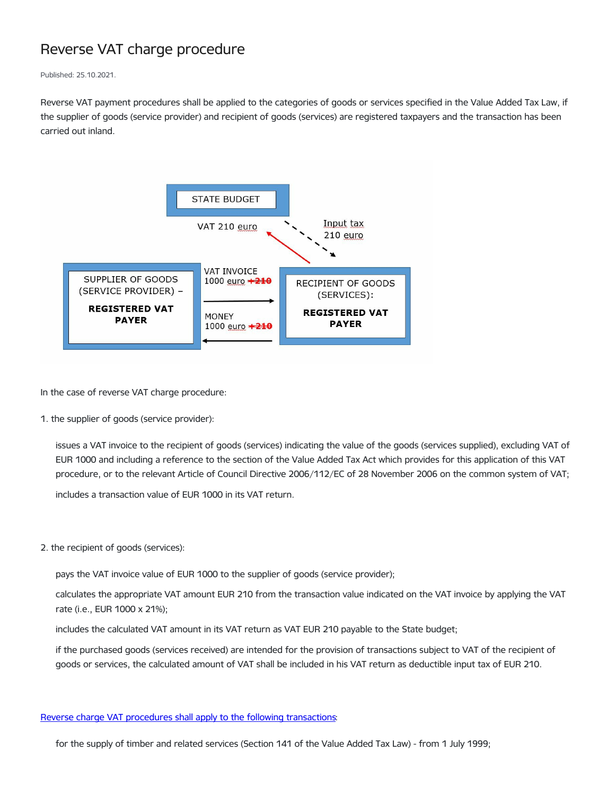## Reverse VAT charge procedure

Published: 25.10.2021.

Reverse VAT payment procedures shall be applied to the categories of goods or services specified in the Value Added Tax Law, if the supplier of goods (service provider) and recipient of goods (services) are registered taxpayers and the transaction has been carried out inland.



In the case of reverse VAT charge procedure:

1. the supplier of goods (service provider):

issues a VAT invoice to the recipient of goods (services) indicating the value of the goods (services supplied), excluding VAT of EUR 1000 and including a reference to the section of the Value Added Tax Act which provides for this application of this VAT procedure, or to the relevant Article of Council Directive 2006/112/EC of 28 November 2006 on the common system of VAT;

includes a transaction value of EUR 1000 in its VAT return.

2. the recipient of goods (services):

pays the VAT invoice value of EUR 1000 to the supplier of goods (service provider);

calculates the appropriate VAT amount EUR 210 from the transaction value indicated on the VAT invoice by applying the VAT rate (i.e., EUR 1000 x 21%);

includes the calculated VAT amount in its VAT return as VAT EUR 210 payable to the State budget;

if the purchased goods (services received) are intended for the provision of transactions subject to VAT of the recipient of goods or services, the calculated amount of VAT shall be included in his VAT return as deductible input tax of EUR 210.

## Reverse charge VAT procedures shall apply to the following [transactions:](https://likumi.lv/ta/en/en/id/253451)

for the supply of timber and related services (Section 141 of the Value Added Tax Law) - from 1 July 1999;